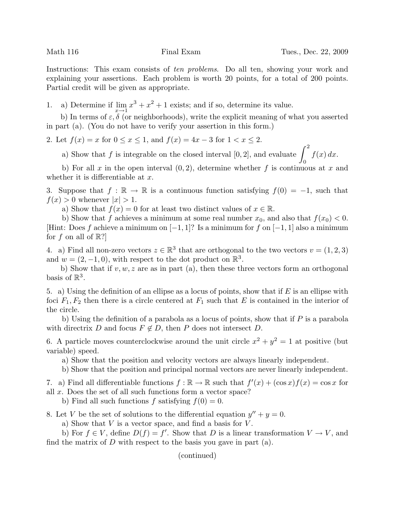Instructions: This exam consists of ten problems. Do all ten, showing your work and explaining your assertions. Each problem is worth 20 points, for a total of 200 points. Partial credit will be given as appropriate.

1. a) Determine if  $\lim_{x\to 1} x^3 + x^2 + 1$  exists; and if so, determine its value.

b) In terms of  $\varepsilon$ ,  $\delta$  (or neighborhoods), write the explicit meaning of what you asserted in part (a). (You do not have to verify your assertion in this form.)

2. Let  $f(x) = x$  for  $0 \le x \le 1$ , and  $f(x) = 4x - 3$  for  $1 < x \le 2$ .

a) Show that f is integrable on the closed interval [0, 2], and evaluate  $\int_0^2$  $f(x) dx$ .

 $\overline{0}$ b) For all x in the open interval  $(0, 2)$ , determine whether f is continuous at x and whether it is differentiable at  $x$ .

3. Suppose that  $f : \mathbb{R} \to \mathbb{R}$  is a continuous function satisfying  $f(0) = -1$ , such that  $f(x) > 0$  whenever  $|x| > 1$ .

a) Show that  $f(x) = 0$  for at least two distinct values of  $x \in \mathbb{R}$ .

b) Show that f achieves a minimum at some real number  $x_0$ , and also that  $f(x_0) < 0$ . [Hint: Does f achieve a minimum on  $[-1, 1]$ ? Is a minimum for f on  $[-1, 1]$  also a minimum for f on all of  $\mathbb{R}$ ?

4. a) Find all non-zero vectors  $z \in \mathbb{R}^3$  that are orthogonal to the two vectors  $v = (1, 2, 3)$ and  $w = (2, -1, 0)$ , with respect to the dot product on  $\mathbb{R}^3$ .

b) Show that if  $v, w, z$  are as in part (a), then these three vectors form an orthogonal basis of  $\mathbb{R}^3$ .

5. a) Using the definition of an ellipse as a locus of points, show that if  $E$  is an ellipse with foci  $F_1, F_2$  then there is a circle centered at  $F_1$  such that E is contained in the interior of the circle.

b) Using the definition of a parabola as a locus of points, show that if  $P$  is a parabola with directrix D and focus  $F \notin D$ , then P does not intersect D.

6. A particle moves counterclockwise around the unit circle  $x^2 + y^2 = 1$  at positive (but variable) speed.

a) Show that the position and velocity vectors are always linearly independent.

b) Show that the position and principal normal vectors are never linearly independent.

7. a) Find all differentiable functions  $f : \mathbb{R} \to \mathbb{R}$  such that  $f'(x) + (\cos x)f(x) = \cos x$  for all x. Does the set of all such functions form a vector space?

b) Find all such functions f satisfying  $f(0) = 0$ .

8. Let V be the set of solutions to the differential equation  $y'' + y = 0$ .

a) Show that  $V$  is a vector space, and find a basis for  $V$ .

b) For  $f \in V$ , define  $D(f) = f'$ . Show that D is a linear transformation  $V \to V$ , and find the matrix of  $D$  with respect to the basis you gave in part (a).

(continued)